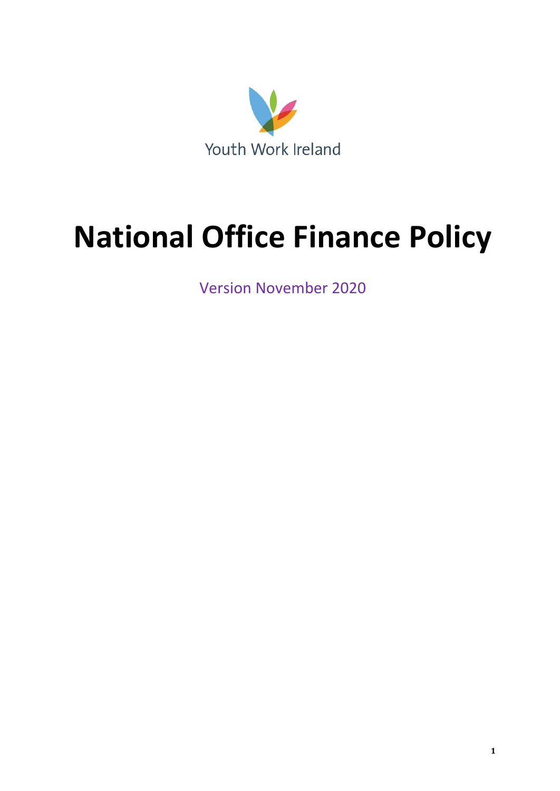

# **National Office Finance Policy**

Version November 2020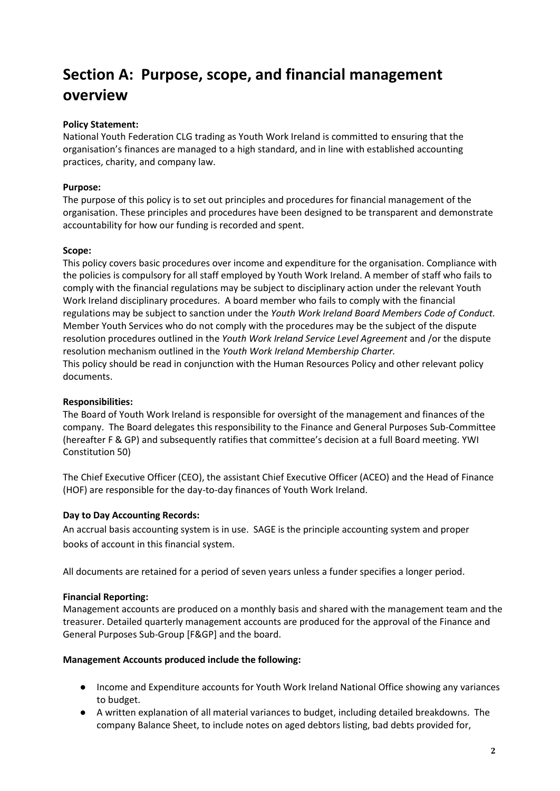### **Section A: Purpose, scope, and financial management overview**

#### **Policy Statement:**

National Youth Federation CLG trading as Youth Work Ireland is committed to ensuring that the organisation's finances are managed to a high standard, and in line with established accounting practices, charity, and company law.

#### **Purpose:**

The purpose of this policy is to set out principles and procedures for financial management of the organisation. These principles and procedures have been designed to be transparent and demonstrate accountability for how our funding is recorded and spent.

#### **Scope:**

This policy covers basic procedures over income and expenditure for the organisation. Compliance with the policies is compulsory for all staff employed by Youth Work Ireland. A member of staff who fails to comply with the financial regulations may be subject to disciplinary action under the relevant Youth Work Ireland disciplinary procedures. A board member who fails to comply with the financial regulations may be subject to sanction under the *Youth Work Ireland Board Members Code of Conduct.* Member Youth Services who do not comply with the procedures may be the subject of the dispute resolution procedures outlined in the *Youth Work Ireland Service Level Agreement* and /or the dispute resolution mechanism outlined in the *Youth Work Ireland Membership Charter.* This policy should be read in conjunction with the Human Resources Policy and other relevant policy documents.

#### **Responsibilities:**

The Board of Youth Work Ireland is responsible for oversight of the management and finances of the company. The Board delegates this responsibility to the Finance and General Purposes Sub-Committee (hereafter F & GP) and subsequently ratifies that committee's decision at a full Board meeting. YWI Constitution 50)

The Chief Executive Officer (CEO), the assistant Chief Executive Officer (ACEO) and the Head of Finance (HOF) are responsible for the day-to-day finances of Youth Work Ireland.

#### **Day to Day Accounting Records:**

An accrual basis accounting system is in use. SAGE is the principle accounting system and proper books of account in this financial system.

All documents are retained for a period of seven years unless a funder specifies a longer period.

#### **Financial Reporting:**

Management accounts are produced on a monthly basis and shared with the management team and the treasurer. Detailed quarterly management accounts are produced for the approval of the Finance and General Purposes Sub-Group [F&GP] and the board.

#### **Management Accounts produced include the following:**

- Income and Expenditure accounts for Youth Work Ireland National Office showing any variances to budget.
- A written explanation of all material variances to budget, including detailed breakdowns. The company Balance Sheet, to include notes on aged debtors listing, bad debts provided for,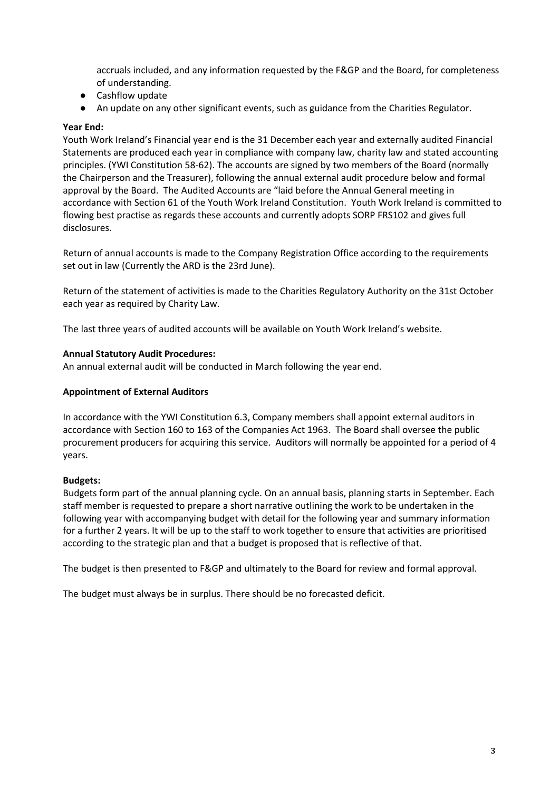accruals included, and any information requested by the F&GP and the Board, for completeness of understanding.

- Cashflow update
- An update on any other significant events, such as guidance from the Charities Regulator.

#### **Year End:**

Youth Work Ireland's Financial year end is the 31 December each year and externally audited Financial Statements are produced each year in compliance with company law, charity law and stated accounting principles. (YWI Constitution 58-62). The accounts are signed by two members of the Board (normally the Chairperson and the Treasurer), following the annual external audit procedure below and formal approval by the Board. The Audited Accounts are "laid before the Annual General meeting in accordance with Section 61 of the Youth Work Ireland Constitution. Youth Work Ireland is committed to flowing best practise as regards these accounts and currently adopts SORP FRS102 and gives full disclosures.

Return of annual accounts is made to the Company Registration Office according to the requirements set out in law (Currently the ARD is the 23rd June).

Return of the statement of activities is made to the Charities Regulatory Authority on the 31st October each year as required by Charity Law.

The last three years of audited accounts will be available on Youth Work Ireland's website.

#### **Annual Statutory Audit Procedures:**

An annual external audit will be conducted in March following the year end.

#### **Appointment of External Auditors**

In accordance with the YWI Constitution 6.3, Company members shall appoint external auditors in accordance with Section 160 to 163 of the Companies Act 1963. The Board shall oversee the public procurement producers for acquiring this service. Auditors will normally be appointed for a period of 4 years.

#### **Budgets:**

Budgets form part of the annual planning cycle. On an annual basis, planning starts in September. Each staff member is requested to prepare a short narrative outlining the work to be undertaken in the following year with accompanying budget with detail for the following year and summary information for a further 2 years. It will be up to the staff to work together to ensure that activities are prioritised according to the strategic plan and that a budget is proposed that is reflective of that.

The budget is then presented to F&GP and ultimately to the Board for review and formal approval.

The budget must always be in surplus. There should be no forecasted deficit.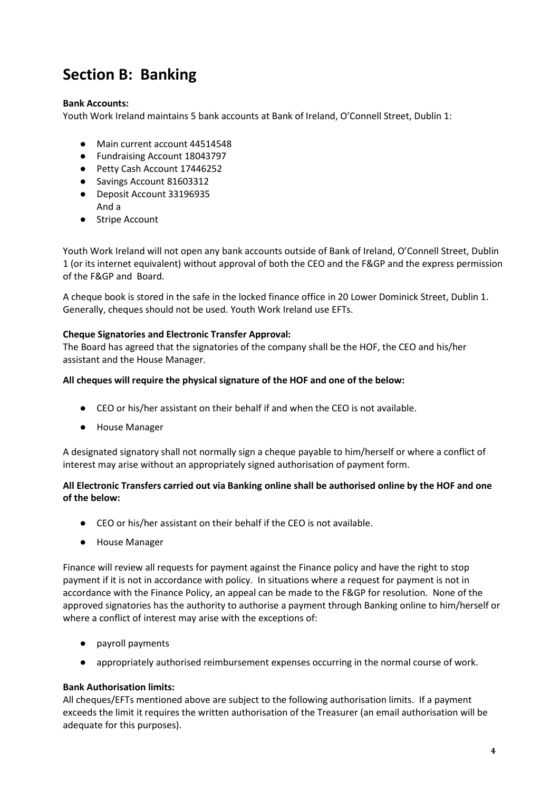# **Section B: Banking**

#### **Bank Accounts:**

Youth Work Ireland maintains 5 bank accounts at Bank of Ireland, O'Connell Street, Dublin 1:

- Main current account 44514548
- Fundraising Account 18043797
- Petty Cash Account 17446252
- Savings Account 81603312
- Deposit Account 33196935
- And a
- Stripe Account

Youth Work Ireland will not open any bank accounts outside of Bank of Ireland, O'Connell Street, Dublin 1 (or its internet equivalent) without approval of both the CEO and the F&GP and the express permission of the F&GP and Board.

A cheque book is stored in the safe in the locked finance office in 20 Lower Dominick Street, Dublin 1. Generally, cheques should not be used. Youth Work Ireland use EFTs.

#### **Cheque Signatories and Electronic Transfer Approval:**

The Board has agreed that the signatories of the company shall be the HOF, the CEO and his/her assistant and the House Manager.

#### **All cheques will require the physical signature of the HOF and one of the below:**

- CEO or his/her assistant on their behalf if and when the CEO is not available.
- House Manager

A designated signatory shall not normally sign a cheque payable to him/herself or where a conflict of interest may arise without an appropriately signed authorisation of payment form.

#### **All Electronic Transfers carried out via Banking online shall be authorised online by the HOF and one of the below:**

- CEO or his/her assistant on their behalf if the CEO is not available.
- House Manager

Finance will review all requests for payment against the Finance policy and have the right to stop payment if it is not in accordance with policy. In situations where a request for payment is not in accordance with the Finance Policy, an appeal can be made to the F&GP for resolution. None of the approved signatories has the authority to authorise a payment through Banking online to him/herself or where a conflict of interest may arise with the exceptions of:

- payroll payments
- appropriately authorised reimbursement expenses occurring in the normal course of work.

#### **Bank Authorisation limits:**

All cheques/EFTs mentioned above are subject to the following authorisation limits. If a payment exceeds the limit it requires the written authorisation of the Treasurer (an email authorisation will be adequate for this purposes).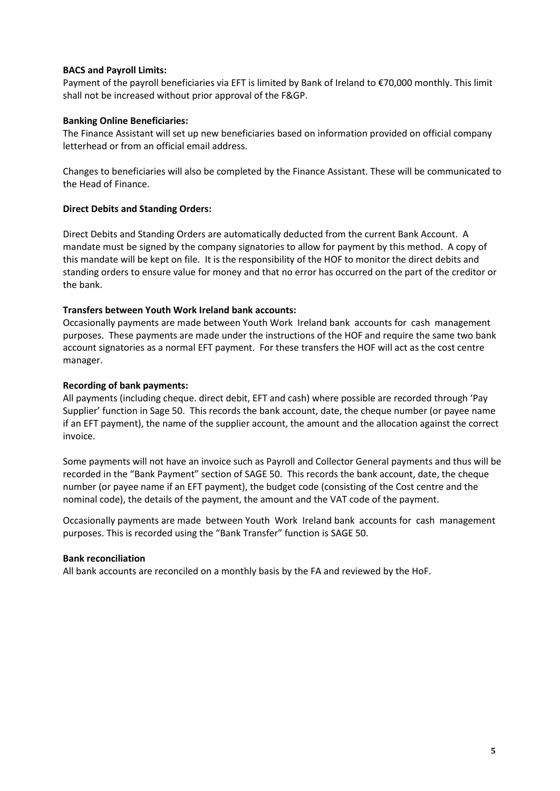#### **BACS and Payroll Limits:**

Payment of the payroll beneficiaries via EFT is limited by Bank of Ireland to €70,000 monthly. This limit shall not be increased without prior approval of the F&GP.

#### **Banking Online Beneficiaries:**

The Finance Assistant will set up new beneficiaries based on information provided on official company letterhead or from an official email address.

Changes to beneficiaries will also be completed by the Finance Assistant. These will be communicated to the Head of Finance.

#### **Direct Debits and Standing Orders:**

Direct Debits and Standing Orders are automatically deducted from the current Bank Account. A mandate must be signed by the company signatories to allow for payment by this method. A copy of this mandate will be kept on file. It is the responsibility of the HOF to monitor the direct debits and standing orders to ensure value for money and that no error has occurred on the part of the creditor or the bank.

#### **Transfers between Youth Work Ireland bank accounts:**

Occasionally payments are made between Youth Work Ireland bank accounts for cash management purposes. These payments are made under the instructions of the HOF and require the same two bank account signatories as a normal EFT payment. For these transfers the HOF will act as the cost centre manager.

#### **Recording of bank payments:**

All payments (including cheque. direct debit, EFT and cash) where possible are recorded through 'Pay Supplier' function in Sage 50. This records the bank account, date, the cheque number (or payee name if an EFT payment), the name of the supplier account, the amount and the allocation against the correct invoice.

Some payments will not have an invoice such as Payroll and Collector General payments and thus will be recorded in the "Bank Payment" section of SAGE 50. This records the bank account, date, the cheque number (or payee name if an EFT payment), the budget code (consisting of the Cost centre and the nominal code), the details of the payment, the amount and the VAT code of the payment.

Occasionally payments are made between Youth Work Ireland bank accounts for cash management purposes. This is recorded using the "Bank Transfer" function is SAGE 50.

#### **Bank reconciliation**

All bank accounts are reconciled on a monthly basis by the FA and reviewed by the HoF.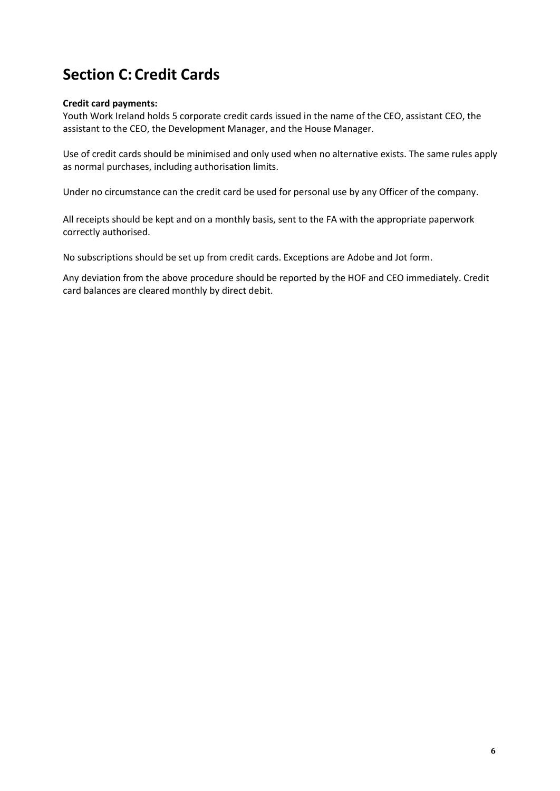# **Section C: Credit Cards**

#### **Credit card payments:**

Youth Work Ireland holds 5 corporate credit cards issued in the name of the CEO, assistant CEO, the assistant to the CEO, the Development Manager, and the House Manager.

Use of credit cards should be minimised and only used when no alternative exists. The same rules apply as normal purchases, including authorisation limits.

Under no circumstance can the credit card be used for personal use by any Officer of the company.

All receipts should be kept and on a monthly basis, sent to the FA with the appropriate paperwork correctly authorised.

No subscriptions should be set up from credit cards. Exceptions are Adobe and Jot form.

Any deviation from the above procedure should be reported by the HOF and CEO immediately. Credit card balances are cleared monthly by direct debit.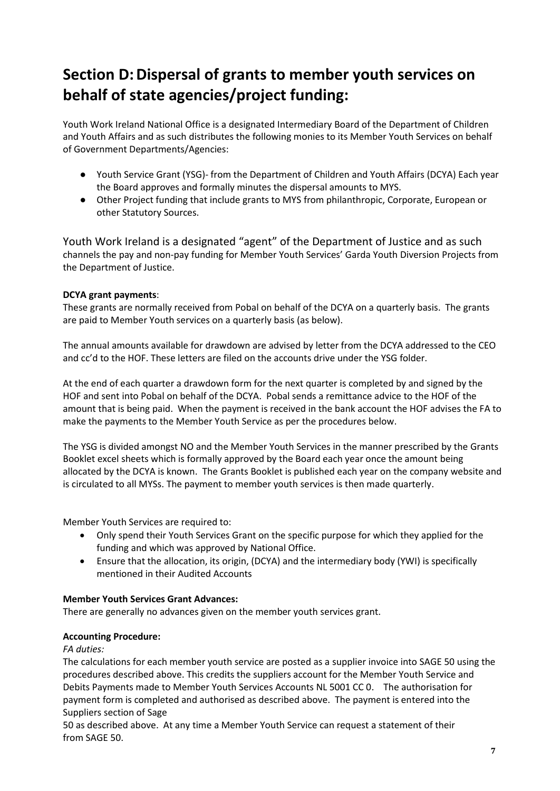# **Section D: Dispersal of grants to member youth services on behalf of state agencies/project funding:**

Youth Work Ireland National Office is a designated Intermediary Board of the Department of Children and Youth Affairs and as such distributes the following monies to its Member Youth Services on behalf of Government Departments/Agencies:

- Youth Service Grant (YSG)- from the Department of Children and Youth Affairs (DCYA) Each year the Board approves and formally minutes the dispersal amounts to MYS.
- Other Project funding that include grants to MYS from philanthropic, Corporate, European or other Statutory Sources.

Youth Work Ireland is a designated "agent" of the Department of Justice and as such channels the pay and non-pay funding for Member Youth Services' Garda Youth Diversion Projects from the Department of Justice.

#### **DCYA grant payments**:

These grants are normally received from Pobal on behalf of the DCYA on a quarterly basis. The grants are paid to Member Youth services on a quarterly basis (as below).

The annual amounts available for drawdown are advised by letter from the DCYA addressed to the CEO and cc'd to the HOF. These letters are filed on the accounts drive under the YSG folder.

At the end of each quarter a drawdown form for the next quarter is completed by and signed by the HOF and sent into Pobal on behalf of the DCYA. Pobal sends a remittance advice to the HOF of the amount that is being paid. When the payment is received in the bank account the HOF advises the FA to make the payments to the Member Youth Service as per the procedures below.

The YSG is divided amongst NO and the Member Youth Services in the manner prescribed by the Grants Booklet excel sheets which is formally approved by the Board each year once the amount being allocated by the DCYA is known. The Grants Booklet is published each year on the company website and is circulated to all MYSs. The payment to member youth services is then made quarterly.

Member Youth Services are required to:

- Only spend their Youth Services Grant on the specific purpose for which they applied for the funding and which was approved by National Office.
- Ensure that the allocation, its origin, (DCYA) and the intermediary body (YWI) is specifically mentioned in their Audited Accounts

#### **Member Youth Services Grant Advances:**

There are generally no advances given on the member youth services grant.

#### **Accounting Procedure:**

#### *FA duties:*

The calculations for each member youth service are posted as a supplier invoice into SAGE 50 using the procedures described above. This credits the suppliers account for the Member Youth Service and Debits Payments made to Member Youth Services Accounts NL 5001 CC 0. The authorisation for payment form is completed and authorised as described above. The payment is entered into the Suppliers section of Sage

50 as described above. At any time a Member Youth Service can request a statement of their from SAGE 50.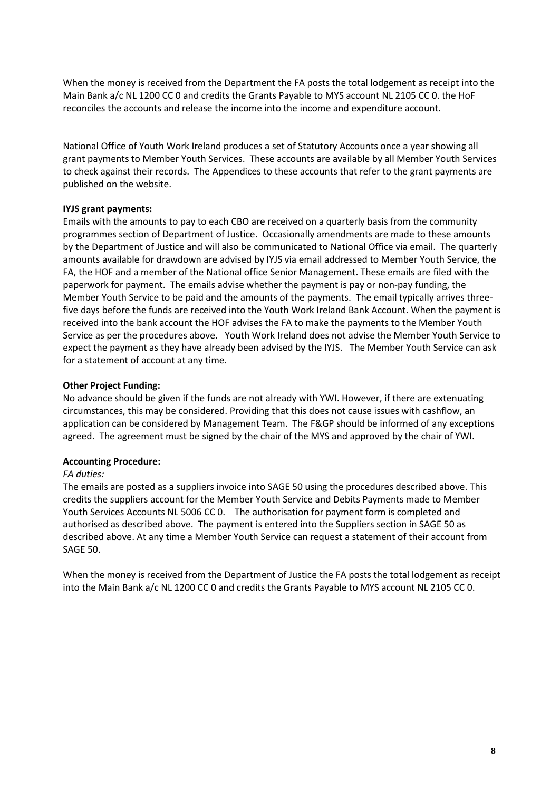When the money is received from the Department the FA posts the total lodgement as receipt into the Main Bank a/c NL 1200 CC 0 and credits the Grants Payable to MYS account NL 2105 CC 0. the HoF reconciles the accounts and release the income into the income and expenditure account.

National Office of Youth Work Ireland produces a set of Statutory Accounts once a year showing all grant payments to Member Youth Services. These accounts are available by all Member Youth Services to check against their records. The Appendices to these accounts that refer to the grant payments are published on the website.

#### **IYJS grant payments:**

Emails with the amounts to pay to each CBO are received on a quarterly basis from the community programmes section of Department of Justice. Occasionally amendments are made to these amounts by the Department of Justice and will also be communicated to National Office via email. The quarterly amounts available for drawdown are advised by IYJS via email addressed to Member Youth Service, the FA, the HOF and a member of the National office Senior Management. These emails are filed with the paperwork for payment. The emails advise whether the payment is pay or non-pay funding, the Member Youth Service to be paid and the amounts of the payments. The email typically arrives threefive days before the funds are received into the Youth Work Ireland Bank Account. When the payment is received into the bank account the HOF advises the FA to make the payments to the Member Youth Service as per the procedures above. Youth Work Ireland does not advise the Member Youth Service to expect the payment as they have already been advised by the IYJS. The Member Youth Service can ask for a statement of account at any time.

#### **Other Project Funding:**

No advance should be given if the funds are not already with YWI. However, if there are extenuating circumstances, this may be considered. Providing that this does not cause issues with cashflow, an application can be considered by Management Team. The F&GP should be informed of any exceptions agreed. The agreement must be signed by the chair of the MYS and approved by the chair of YWI.

#### **Accounting Procedure:**

#### *FA duties:*

The emails are posted as a suppliers invoice into SAGE 50 using the procedures described above. This credits the suppliers account for the Member Youth Service and Debits Payments made to Member Youth Services Accounts NL 5006 CC 0. The authorisation for payment form is completed and authorised as described above. The payment is entered into the Suppliers section in SAGE 50 as described above. At any time a Member Youth Service can request a statement of their account from SAGE 50.

When the money is received from the Department of Justice the FA posts the total lodgement as receipt into the Main Bank a/c NL 1200 CC 0 and credits the Grants Payable to MYS account NL 2105 CC 0.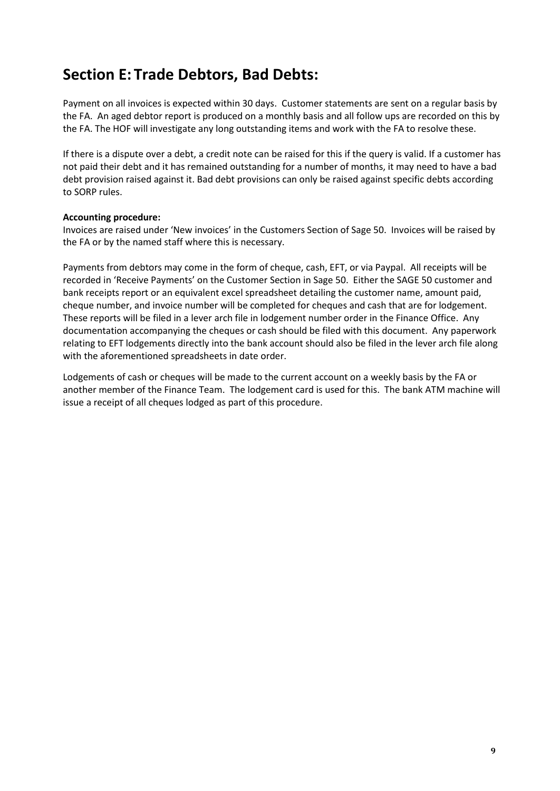### **Section E: Trade Debtors, Bad Debts:**

Payment on all invoices is expected within 30 days. Customer statements are sent on a regular basis by the FA. An aged debtor report is produced on a monthly basis and all follow ups are recorded on this by the FA. The HOF will investigate any long outstanding items and work with the FA to resolve these.

If there is a dispute over a debt, a credit note can be raised for this if the query is valid. If a customer has not paid their debt and it has remained outstanding for a number of months, it may need to have a bad debt provision raised against it. Bad debt provisions can only be raised against specific debts according to SORP rules.

#### **Accounting procedure:**

Invoices are raised under 'New invoices' in the Customers Section of Sage 50. Invoices will be raised by the FA or by the named staff where this is necessary.

Payments from debtors may come in the form of cheque, cash, EFT, or via Paypal. All receipts will be recorded in 'Receive Payments' on the Customer Section in Sage 50. Either the SAGE 50 customer and bank receipts report or an equivalent excel spreadsheet detailing the customer name, amount paid, cheque number, and invoice number will be completed for cheques and cash that are for lodgement. These reports will be filed in a lever arch file in lodgement number order in the Finance Office. Any documentation accompanying the cheques or cash should be filed with this document. Any paperwork relating to EFT lodgements directly into the bank account should also be filed in the lever arch file along with the aforementioned spreadsheets in date order.

Lodgements of cash or cheques will be made to the current account on a weekly basis by the FA or another member of the Finance Team. The lodgement card is used for this. The bank ATM machine will issue a receipt of all cheques lodged as part of this procedure.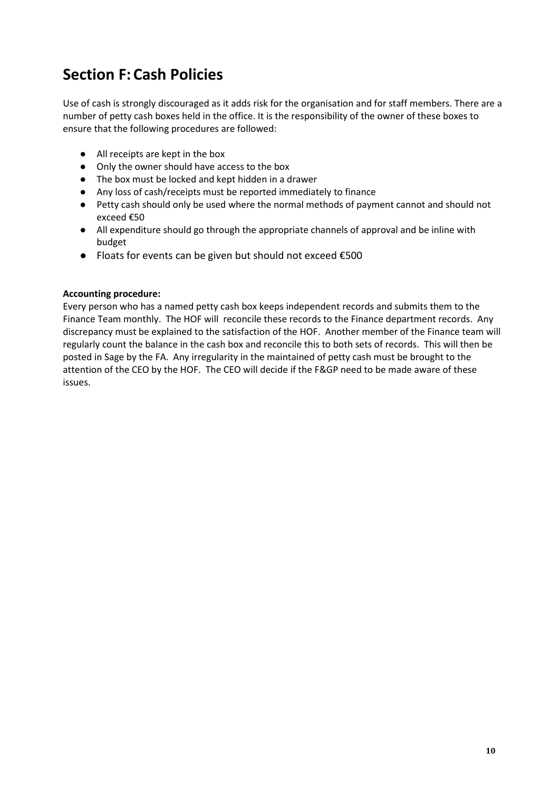### **Section F: Cash Policies**

Use of cash is strongly discouraged as it adds risk for the organisation and for staff members. There are a number of petty cash boxes held in the office. It is the responsibility of the owner of these boxes to ensure that the following procedures are followed:

- All receipts are kept in the box
- Only the owner should have access to the box
- The box must be locked and kept hidden in a drawer
- Any loss of cash/receipts must be reported immediately to finance
- Petty cash should only be used where the normal methods of payment cannot and should not exceed €50
- All expenditure should go through the appropriate channels of approval and be inline with budget
- Floats for events can be given but should not exceed €500

#### **Accounting procedure:**

Every person who has a named petty cash box keeps independent records and submits them to the Finance Team monthly. The HOF will reconcile these records to the Finance department records. Any discrepancy must be explained to the satisfaction of the HOF. Another member of the Finance team will regularly count the balance in the cash box and reconcile this to both sets of records. This will then be posted in Sage by the FA. Any irregularity in the maintained of petty cash must be brought to the attention of the CEO by the HOF. The CEO will decide if the F&GP need to be made aware of these issues.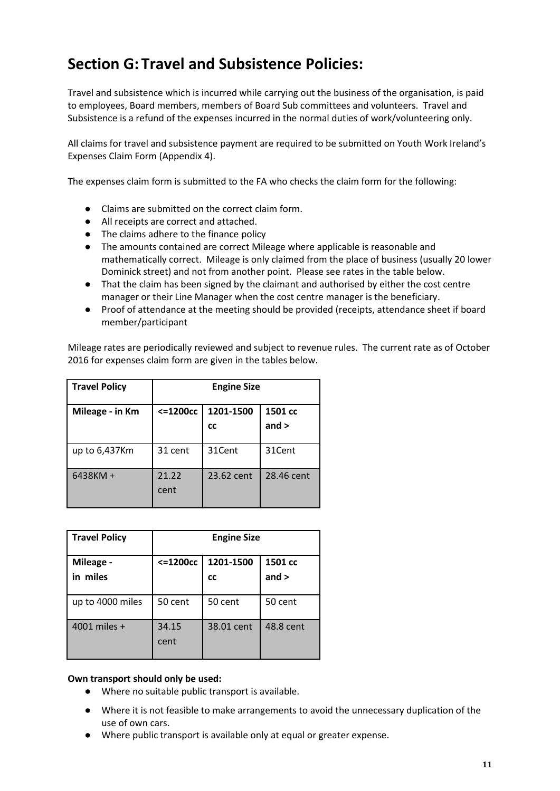### **Section G: Travel and Subsistence Policies:**

Travel and subsistence which is incurred while carrying out the business of the organisation, is paid to employees, Board members, members of Board Sub committees and volunteers. Travel and Subsistence is a refund of the expenses incurred in the normal duties of work/volunteering only.

All claims for travel and subsistence payment are required to be submitted on Youth Work Ireland's Expenses Claim Form (Appendix 4).

The expenses claim form is submitted to the FA who checks the claim form for the following:

- Claims are submitted on the correct claim form.
- All receipts are correct and attached.
- The claims adhere to the finance policy
- The amounts contained are correct Mileage where applicable is reasonable and mathematically correct. Mileage is only claimed from the place of business (usually 20 lower Dominick street) and not from another point. Please see rates in the table below.
- That the claim has been signed by the claimant and authorised by either the cost centre manager or their Line Manager when the cost centre manager is the beneficiary.
- Proof of attendance at the meeting should be provided (receipts, attendance sheet if board member/participant

Mileage rates are periodically reviewed and subject to revenue rules. The current rate as of October 2016 for expenses claim form are given in the tables below.

| <b>Travel Policy</b> | <b>Engine Size</b> |                        |                    |  |
|----------------------|--------------------|------------------------|--------------------|--|
| Mileage - in Km      | $<=1200cc$         | 1201-1500<br><b>CC</b> | 1501 cc<br>and $>$ |  |
| up to 6,437Km        | 31 cent            | 31Cent                 | 31Cent             |  |
| 6438KM +             | 21.22<br>cent      | 23.62 cent             | 28.46 cent         |  |

| <b>Travel Policy</b>  | <b>Engine Size</b> |                        |                    |  |
|-----------------------|--------------------|------------------------|--------------------|--|
| Mileage -<br>in miles | $< = 1200cc$       | 1201-1500<br><b>CC</b> | 1501 cc<br>and $>$ |  |
| up to 4000 miles      | 50 cent            | 50 cent                | 50 cent            |  |
| 4001 miles +          | 34.15<br>cent      | 38.01 cent             | 48.8 cent          |  |

#### **Own transport should only be used:**

- Where no suitable public transport is available.
- Where it is not feasible to make arrangements to avoid the unnecessary duplication of the use of own cars.
- Where public transport is available only at equal or greater expense.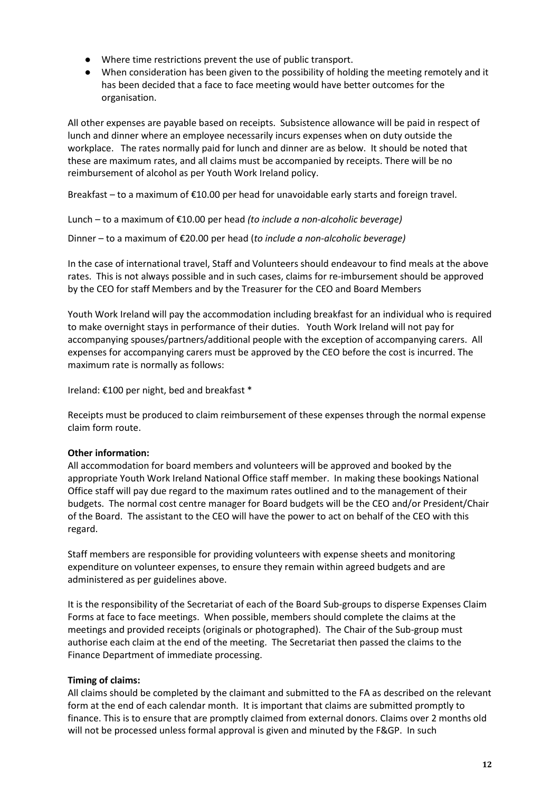- Where time restrictions prevent the use of public transport.
- When consideration has been given to the possibility of holding the meeting remotely and it has been decided that a face to face meeting would have better outcomes for the organisation.

All other expenses are payable based on receipts. Subsistence allowance will be paid in respect of lunch and dinner where an employee necessarily incurs expenses when on duty outside the workplace. The rates normally paid for lunch and dinner are as below. It should be noted that these are maximum rates, and all claims must be accompanied by receipts. There will be no reimbursement of alcohol as per Youth Work Ireland policy.

Breakfast – to a maximum of €10.00 per head for unavoidable early starts and foreign travel.

Lunch – to a maximum of €10.00 per head *(to include a non-alcoholic beverage)*

Dinner – to a maximum of €20.00 per head (*to include a non-alcoholic beverage)*

In the case of international travel, Staff and Volunteers should endeavour to find meals at the above rates. This is not always possible and in such cases, claims for re-imbursement should be approved by the CEO for staff Members and by the Treasurer for the CEO and Board Members

Youth Work Ireland will pay the accommodation including breakfast for an individual who is required to make overnight stays in performance of their duties. Youth Work Ireland will not pay for accompanying spouses/partners/additional people with the exception of accompanying carers. All expenses for accompanying carers must be approved by the CEO before the cost is incurred. The maximum rate is normally as follows:

Ireland: €100 per night, bed and breakfast \*

Receipts must be produced to claim reimbursement of these expenses through the normal expense claim form route.

#### **Other information:**

All accommodation for board members and volunteers will be approved and booked by the appropriate Youth Work Ireland National Office staff member. In making these bookings National Office staff will pay due regard to the maximum rates outlined and to the management of their budgets. The normal cost centre manager for Board budgets will be the CEO and/or President/Chair of the Board. The assistant to the CEO will have the power to act on behalf of the CEO with this regard.

Staff members are responsible for providing volunteers with expense sheets and monitoring expenditure on volunteer expenses, to ensure they remain within agreed budgets and are administered as per guidelines above.

It is the responsibility of the Secretariat of each of the Board Sub-groups to disperse Expenses Claim Forms at face to face meetings. When possible, members should complete the claims at the meetings and provided receipts (originals or photographed). The Chair of the Sub-group must authorise each claim at the end of the meeting. The Secretariat then passed the claims to the Finance Department of immediate processing.

#### **Timing of claims:**

All claims should be completed by the claimant and submitted to the FA as described on the relevant form at the end of each calendar month. It is important that claims are submitted promptly to finance. This is to ensure that are promptly claimed from external donors. Claims over 2 months old will not be processed unless formal approval is given and minuted by the F&GP. In such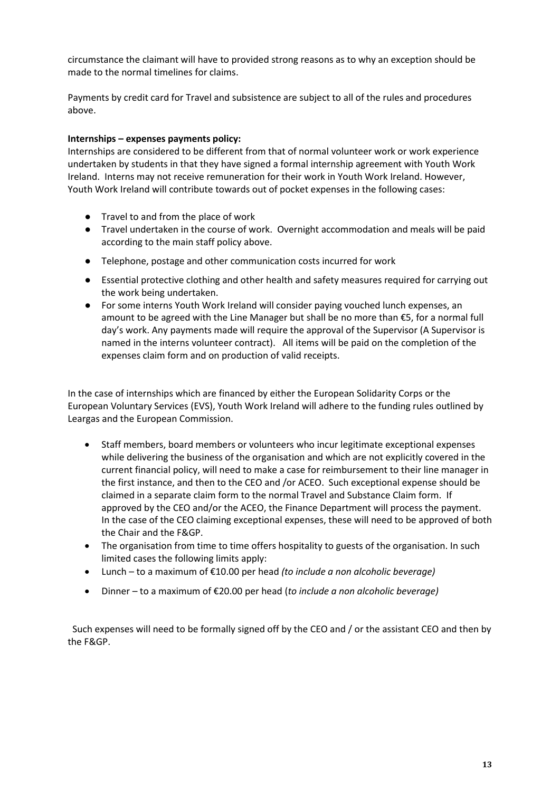circumstance the claimant will have to provided strong reasons as to why an exception should be made to the normal timelines for claims.

Payments by credit card for Travel and subsistence are subject to all of the rules and procedures above.

#### **Internships – expenses payments policy:**

Internships are considered to be different from that of normal volunteer work or work experience undertaken by students in that they have signed a formal internship agreement with Youth Work Ireland. Interns may not receive remuneration for their work in Youth Work Ireland. However, Youth Work Ireland will contribute towards out of pocket expenses in the following cases:

- Travel to and from the place of work
- Travel undertaken in the course of work. Overnight accommodation and meals will be paid according to the main staff policy above.
- Telephone, postage and other communication costs incurred for work
- Essential protective clothing and other health and safety measures required for carrying out the work being undertaken.
- For some interns Youth Work Ireland will consider paying vouched lunch expenses, an amount to be agreed with the Line Manager but shall be no more than €5, for a normal full day's work. Any payments made will require the approval of the Supervisor (A Supervisor is named in the interns volunteer contract). All items will be paid on the completion of the expenses claim form and on production of valid receipts.

In the case of internships which are financed by either the European Solidarity Corps or the European Voluntary Services (EVS), Youth Work Ireland will adhere to the funding rules outlined by Leargas and the European Commission.

- Staff members, board members or volunteers who incur legitimate exceptional expenses while delivering the business of the organisation and which are not explicitly covered in the current financial policy, will need to make a case for reimbursement to their line manager in the first instance, and then to the CEO and /or ACEO. Such exceptional expense should be claimed in a separate claim form to the normal Travel and Substance Claim form. If approved by the CEO and/or the ACEO, the Finance Department will process the payment. In the case of the CEO claiming exceptional expenses, these will need to be approved of both the Chair and the F&GP.
- The organisation from time to time offers hospitality to guests of the organisation. In such limited cases the following limits apply:
- Lunch to a maximum of €10.00 per head *(to include a non alcoholic beverage)*
- Dinner to a maximum of €20.00 per head (*to include a non alcoholic beverage)*

 Such expenses will need to be formally signed off by the CEO and / or the assistant CEO and then by the F&GP.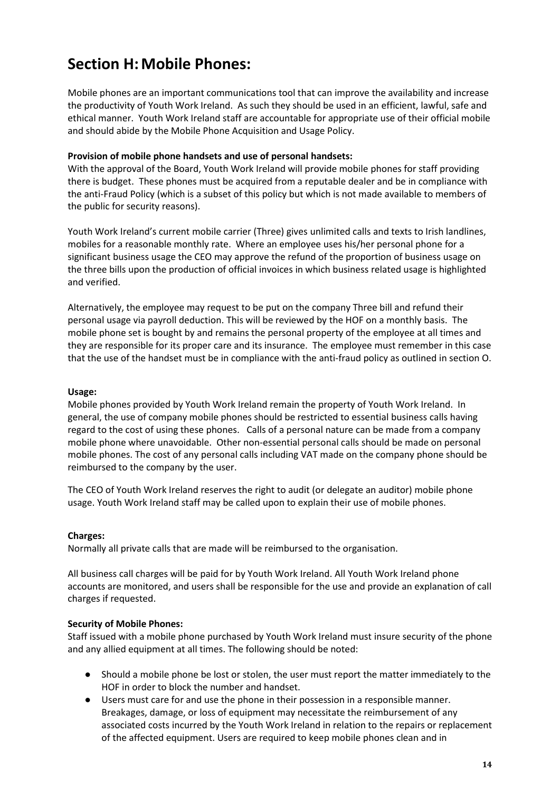### **Section H:Mobile Phones:**

Mobile phones are an important communications tool that can improve the availability and increase the productivity of Youth Work Ireland. As such they should be used in an efficient, lawful, safe and ethical manner. Youth Work Ireland staff are accountable for appropriate use of their official mobile and should abide by the Mobile Phone Acquisition and Usage Policy.

#### **Provision of mobile phone handsets and use of personal handsets:**

With the approval of the Board, Youth Work Ireland will provide mobile phones for staff providing there is budget. These phones must be acquired from a reputable dealer and be in compliance with the anti-Fraud Policy (which is a subset of this policy but which is not made available to members of the public for security reasons).

Youth Work Ireland's current mobile carrier (Three) gives unlimited calls and texts to Irish landlines, mobiles for a reasonable monthly rate. Where an employee uses his/her personal phone for a significant business usage the CEO may approve the refund of the proportion of business usage on the three bills upon the production of official invoices in which business related usage is highlighted and verified.

Alternatively, the employee may request to be put on the company Three bill and refund their personal usage via payroll deduction. This will be reviewed by the HOF on a monthly basis. The mobile phone set is bought by and remains the personal property of the employee at all times and they are responsible for its proper care and its insurance. The employee must remember in this case that the use of the handset must be in compliance with the anti-fraud policy as outlined in section O.

#### **Usage:**

Mobile phones provided by Youth Work Ireland remain the property of Youth Work Ireland. In general, the use of company mobile phones should be restricted to essential business calls having regard to the cost of using these phones. Calls of a personal nature can be made from a company mobile phone where unavoidable. Other non-essential personal calls should be made on personal mobile phones. The cost of any personal calls including VAT made on the company phone should be reimbursed to the company by the user.

The CEO of Youth Work Ireland reserves the right to audit (or delegate an auditor) mobile phone usage. Youth Work Ireland staff may be called upon to explain their use of mobile phones.

#### **Charges:**

Normally all private calls that are made will be reimbursed to the organisation.

All business call charges will be paid for by Youth Work Ireland. All Youth Work Ireland phone accounts are monitored, and users shall be responsible for the use and provide an explanation of call charges if requested.

#### **Security of Mobile Phones:**

Staff issued with a mobile phone purchased by Youth Work Ireland must insure security of the phone and any allied equipment at all times. The following should be noted:

- Should a mobile phone be lost or stolen, the user must report the matter immediately to the HOF in order to block the number and handset.
- Users must care for and use the phone in their possession in a responsible manner. Breakages, damage, or loss of equipment may necessitate the reimbursement of any associated costs incurred by the Youth Work Ireland in relation to the repairs or replacement of the affected equipment. Users are required to keep mobile phones clean and in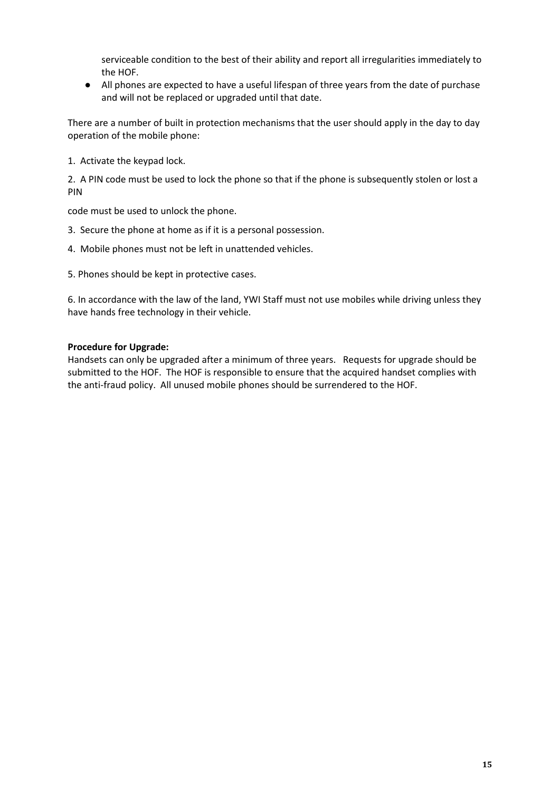serviceable condition to the best of their ability and report all irregularities immediately to the HOF.

● All phones are expected to have a useful lifespan of three years from the date of purchase and will not be replaced or upgraded until that date.

There are a number of built in protection mechanisms that the user should apply in the day to day operation of the mobile phone:

1. Activate the keypad lock.

2. A PIN code must be used to lock the phone so that if the phone is subsequently stolen or lost a PIN

code must be used to unlock the phone.

- 3. Secure the phone at home as if it is a personal possession.
- 4. Mobile phones must not be left in unattended vehicles.
- 5. Phones should be kept in protective cases.

6. In accordance with the law of the land, YWI Staff must not use mobiles while driving unless they have hands free technology in their vehicle.

#### **Procedure for Upgrade:**

Handsets can only be upgraded after a minimum of three years. Requests for upgrade should be submitted to the HOF. The HOF is responsible to ensure that the acquired handset complies with the anti-fraud policy. All unused mobile phones should be surrendered to the HOF.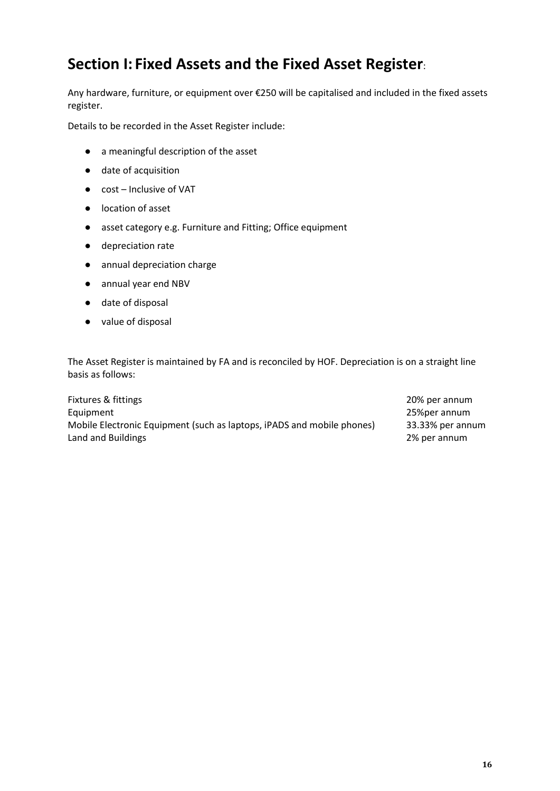### **Section I: Fixed Assets and the Fixed Asset Register**:

Any hardware, furniture, or equipment over €250 will be capitalised and included in the fixed assets register.

Details to be recorded in the Asset Register include:

- a meaningful description of the asset
- date of acquisition
- cost Inclusive of VAT
- location of asset
- asset category e.g. Furniture and Fitting; Office equipment
- depreciation rate
- annual depreciation charge
- annual year end NBV
- date of disposal
- value of disposal

The Asset Register is maintained by FA and is reconciled by HOF. Depreciation is on a straight line basis as follows:

Fixtures & fittings 20% per annum Equipment 25%per annum Mobile Electronic Equipment (such as laptops, iPADS and mobile phones) 33.33% per annum Land and Buildings 2% per annum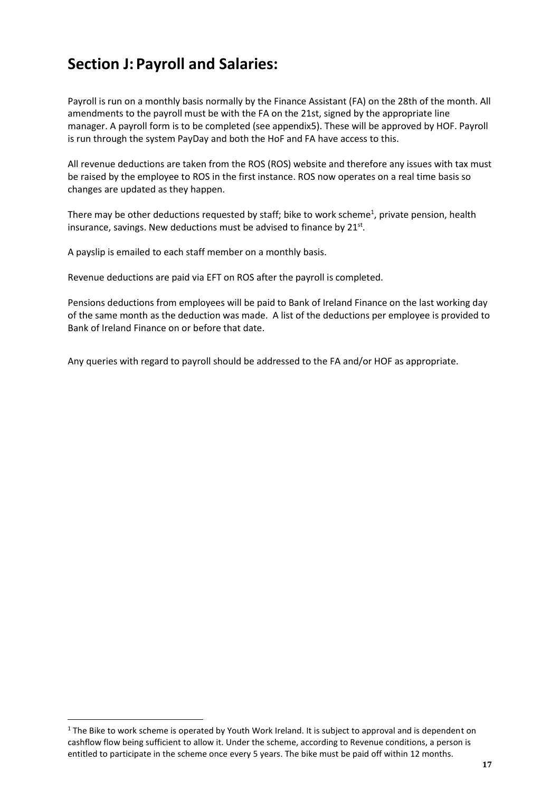### **Section J: Payroll and Salaries:**

Payroll is run on a monthly basis normally by the Finance Assistant (FA) on the 28th of the month. All amendments to the payroll must be with the FA on the 21st, signed by the appropriate line manager. A payroll form is to be completed (see appendix5). These will be approved by HOF. Payroll is run through the system PayDay and both the HoF and FA have access to this.

All revenue deductions are taken from the ROS (ROS) website and therefore any issues with tax must be raised by the employee to ROS in the first instance. ROS now operates on a real time basis so changes are updated as they happen.

There may be other deductions requested by staff; bike to work scheme<sup>1</sup>, private pension, health insurance, savings. New deductions must be advised to finance by 21st.

A payslip is emailed to each staff member on a monthly basis.

Revenue deductions are paid via EFT on ROS after the payroll is completed.

Pensions deductions from employees will be paid to Bank of Ireland Finance on the last working day of the same month as the deduction was made. A list of the deductions per employee is provided to Bank of Ireland Finance on or before that date.

Any queries with regard to payroll should be addressed to the FA and/or HOF as appropriate.

 $1$  The Bike to work scheme is operated by Youth Work Ireland. It is subject to approval and is dependent on cashflow flow being sufficient to allow it. Under the scheme, according to Revenue conditions, a person is entitled to participate in the scheme once every 5 years. The bike must be paid off within 12 months.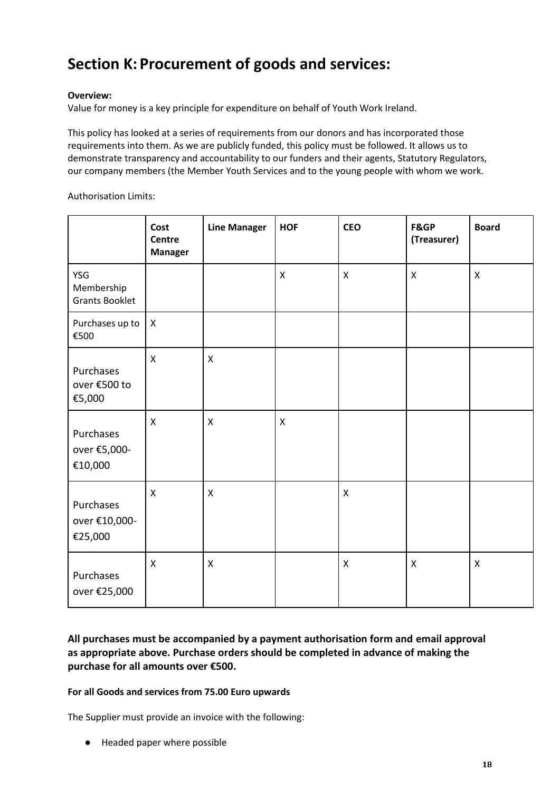### **Section K: Procurement of goods and services:**

#### **Overview:**

Value for money is a key principle for expenditure on behalf of Youth Work Ireland.

This policy has looked at a series of requirements from our donors and has incorporated those requirements into them. As we are publicly funded, this policy must be followed. It allows us to demonstrate transparency and accountability to our funders and their agents, Statutory Regulators, our company members (the Member Youth Services and to the young people with whom we work.

Authorisation Limits:

|                                            | Cost<br>Centre<br><b>Manager</b> | <b>Line Manager</b> | <b>HOF</b>   | <b>CEO</b>                | <b>F&amp;GP</b><br>(Treasurer) | <b>Board</b>   |
|--------------------------------------------|----------------------------------|---------------------|--------------|---------------------------|--------------------------------|----------------|
| YSG<br>Membership<br><b>Grants Booklet</b> |                                  |                     | X            | $\pmb{\times}$            | $\pmb{\mathsf{X}}$             | $\pmb{\times}$ |
| Purchases up to<br>€500                    | $\boldsymbol{\mathsf{X}}$        |                     |              |                           |                                |                |
| Purchases<br>over €500 to<br>€5,000        | $\mathsf{x}$                     | $\pmb{\times}$      |              |                           |                                |                |
| Purchases<br>over €5,000-<br>€10,000       | $\mathsf X$                      | $\mathsf{x}$        | $\mathsf{x}$ |                           |                                |                |
| Purchases<br>over €10,000-<br>€25,000      | $\boldsymbol{\mathsf{X}}$        | $\mathsf{x}$        |              | $\boldsymbol{\mathsf{X}}$ |                                |                |
| Purchases<br>over €25,000                  | $\mathsf{X}$                     | $\mathsf{x}$        |              | $\mathsf{x}$              | $\mathsf{X}$                   | $\mathsf{x}$   |

#### **All purchases must be accompanied by a payment authorisation form and email approval as appropriate above. Purchase orders should be completed in advance of making the purchase for all amounts over €500.**

#### **For all Goods and services from 75.00 Euro upwards**

The Supplier must provide an invoice with the following:

● Headed paper where possible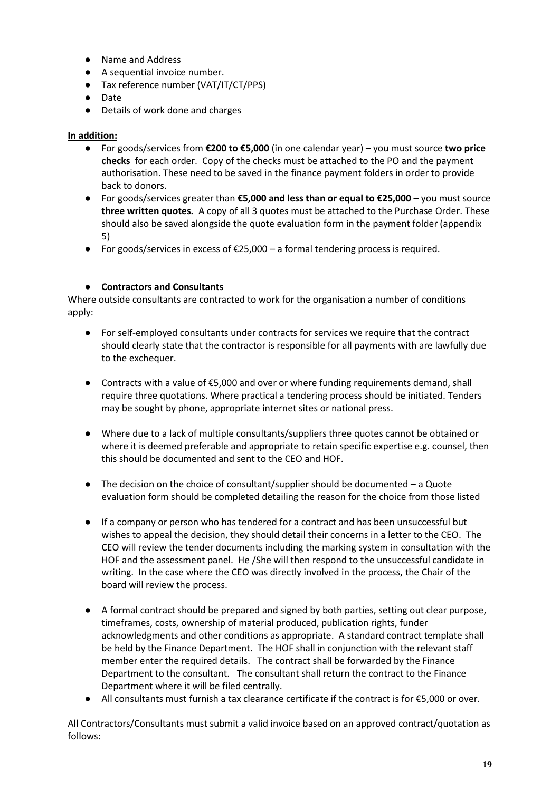- Name and Address
- A sequential invoice number.
- Tax reference number (VAT/IT/CT/PPS)
- Date
- Details of work done and charges

#### **In addition:**

- For goods/services from **€200 to €5,000** (in one calendar year) you must source **two price checks** for each order. Copy of the checks must be attached to the PO and the payment authorisation. These need to be saved in the finance payment folders in order to provide back to donors.
- For goods/services greater than **€5,000 and less than or equal to €25,000** you must source **three written quotes.** A copy of all 3 quotes must be attached to the Purchase Order. These should also be saved alongside the quote evaluation form in the payment folder (appendix 5)
- $\bullet$  For goods/services in excess of €25,000 a formal tendering process is required.

#### ● **Contractors and Consultants**

Where outside consultants are contracted to work for the organisation a number of conditions apply:

- For self-employed consultants under contracts for services we require that the contract should clearly state that the contractor is responsible for all payments with are lawfully due to the exchequer.
- Contracts with a value of  $\epsilon$ 5,000 and over or where funding requirements demand, shall require three quotations. Where practical a tendering process should be initiated. Tenders may be sought by phone, appropriate internet sites or national press.
- Where due to a lack of multiple consultants/suppliers three quotes cannot be obtained or where it is deemed preferable and appropriate to retain specific expertise e.g. counsel, then this should be documented and sent to the CEO and HOF.
- The decision on the choice of consultant/supplier should be documented a Quote evaluation form should be completed detailing the reason for the choice from those listed
- If a company or person who has tendered for a contract and has been unsuccessful but wishes to appeal the decision, they should detail their concerns in a letter to the CEO. The CEO will review the tender documents including the marking system in consultation with the HOF and the assessment panel. He /She will then respond to the unsuccessful candidate in writing. In the case where the CEO was directly involved in the process, the Chair of the board will review the process.
- A formal contract should be prepared and signed by both parties, setting out clear purpose, timeframes, costs, ownership of material produced, publication rights, funder acknowledgments and other conditions as appropriate. A standard contract template shall be held by the Finance Department. The HOF shall in conjunction with the relevant staff member enter the required details. The contract shall be forwarded by the Finance Department to the consultant. The consultant shall return the contract to the Finance Department where it will be filed centrally.
- All consultants must furnish a tax clearance certificate if the contract is for  $\epsilon$ 5,000 or over.

All Contractors/Consultants must submit a valid invoice based on an approved contract/quotation as follows: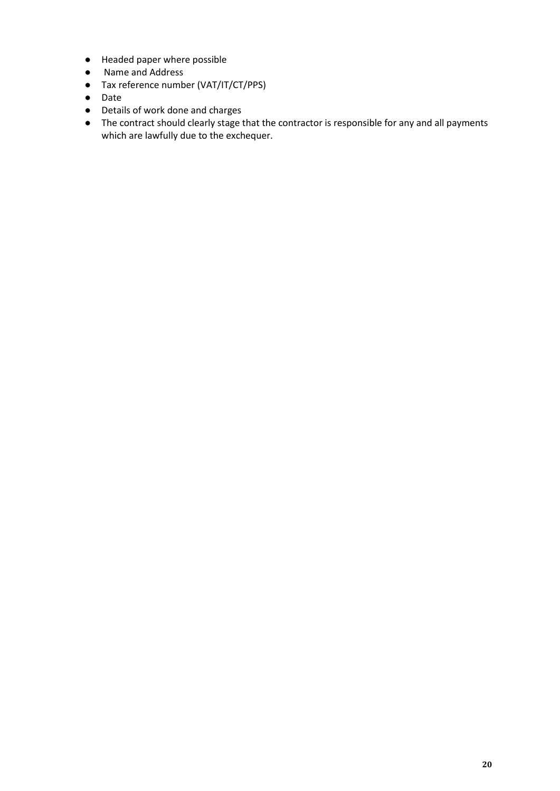- Headed paper where possible
- Name and Address
- Tax reference number (VAT/IT/CT/PPS)
- Date
- Details of work done and charges
- The contract should clearly stage that the contractor is responsible for any and all payments which are lawfully due to the exchequer.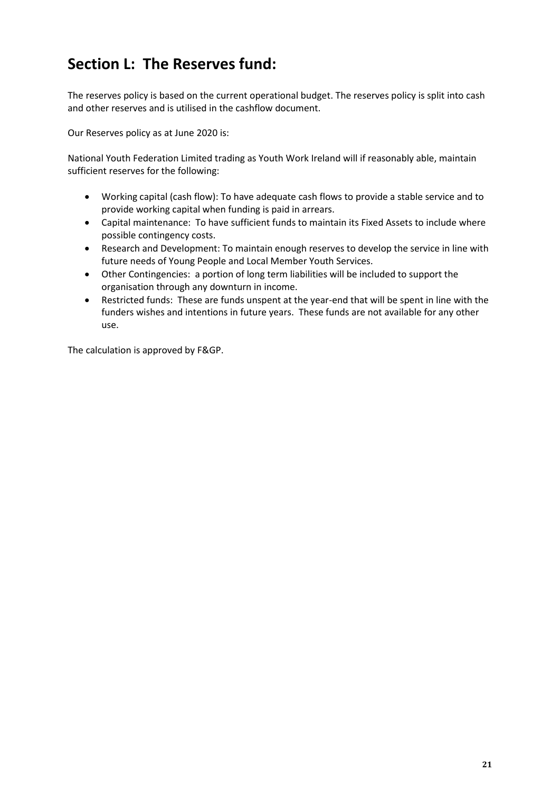### **Section L: The Reserves fund:**

The reserves policy is based on the current operational budget. The reserves policy is split into cash and other reserves and is utilised in the cashflow document.

Our Reserves policy as at June 2020 is:

National Youth Federation Limited trading as Youth Work Ireland will if reasonably able, maintain sufficient reserves for the following:

- Working capital (cash flow): To have adequate cash flows to provide a stable service and to provide working capital when funding is paid in arrears.
- Capital maintenance: To have sufficient funds to maintain its Fixed Assets to include where possible contingency costs.
- Research and Development: To maintain enough reserves to develop the service in line with future needs of Young People and Local Member Youth Services.
- Other Contingencies: a portion of long term liabilities will be included to support the organisation through any downturn in income.
- Restricted funds: These are funds unspent at the year-end that will be spent in line with the funders wishes and intentions in future years. These funds are not available for any other use.

The calculation is approved by F&GP.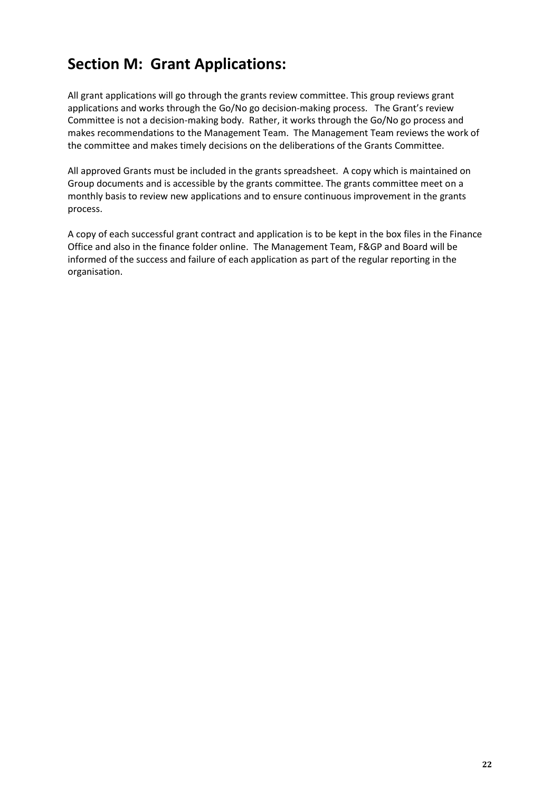### **Section M: Grant Applications:**

All grant applications will go through the grants review committee. This group reviews grant applications and works through the Go/No go decision-making process. The Grant's review Committee is not a decision-making body. Rather, it works through the Go/No go process and makes recommendations to the Management Team. The Management Team reviews the work of the committee and makes timely decisions on the deliberations of the Grants Committee.

All approved Grants must be included in the grants spreadsheet. A copy which is maintained on Group documents and is accessible by the grants committee. The grants committee meet on a monthly basis to review new applications and to ensure continuous improvement in the grants process.

A copy of each successful grant contract and application is to be kept in the box files in the Finance Office and also in the finance folder online. The Management Team, F&GP and Board will be informed of the success and failure of each application as part of the regular reporting in the organisation.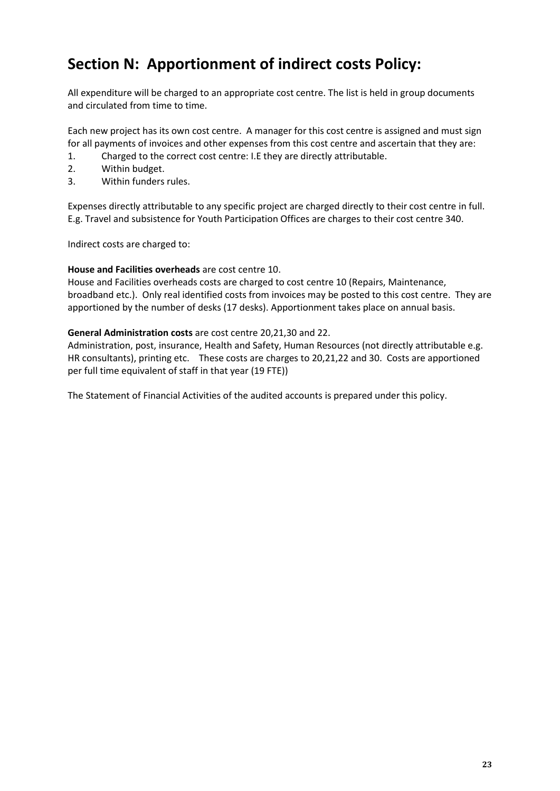### **Section N: Apportionment of indirect costs Policy:**

All expenditure will be charged to an appropriate cost centre. The list is held in group documents and circulated from time to time.

Each new project has its own cost centre. A manager for this cost centre is assigned and must sign for all payments of invoices and other expenses from this cost centre and ascertain that they are:

- 1. Charged to the correct cost centre: I.E they are directly attributable.
- 2. Within budget.
- 3. Within funders rules.

Expenses directly attributable to any specific project are charged directly to their cost centre in full. E.g. Travel and subsistence for Youth Participation Offices are charges to their cost centre 340.

Indirect costs are charged to:

#### **House and Facilities overheads** are cost centre 10.

House and Facilities overheads costs are charged to cost centre 10 (Repairs, Maintenance, broadband etc.). Only real identified costs from invoices may be posted to this cost centre. They are apportioned by the number of desks (17 desks). Apportionment takes place on annual basis.

#### **General Administration costs** are cost centre 20,21,30 and 22.

Administration, post, insurance, Health and Safety, Human Resources (not directly attributable e.g. HR consultants), printing etc. These costs are charges to 20,21,22 and 30. Costs are apportioned per full time equivalent of staff in that year (19 FTE))

The Statement of Financial Activities of the audited accounts is prepared under this policy.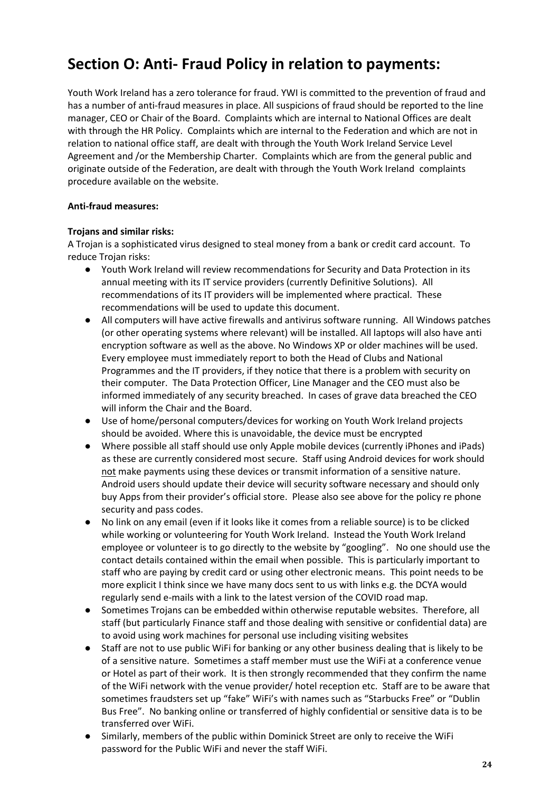### **Section O: Anti- Fraud Policy in relation to payments:**

Youth Work Ireland has a zero tolerance for fraud. YWI is committed to the prevention of fraud and has a number of anti-fraud measures in place. All suspicions of fraud should be reported to the line manager, CEO or Chair of the Board. Complaints which are internal to National Offices are dealt with through the HR Policy. Complaints which are internal to the Federation and which are not in relation to national office staff, are dealt with through the Youth Work Ireland Service Level Agreement and /or the Membership Charter. Complaints which are from the general public and originate outside of the Federation, are dealt with through the Youth Work Ireland complaints procedure available on the website.

#### **Anti-fraud measures:**

#### **Trojans and similar risks:**

A Trojan is a sophisticated virus designed to steal money from a bank or credit card account. To reduce Trojan risks:

- Youth Work Ireland will review recommendations for Security and Data Protection in its annual meeting with its IT service providers (currently Definitive Solutions). All recommendations of its IT providers will be implemented where practical. These recommendations will be used to update this document.
- All computers will have active firewalls and antivirus software running. All Windows patches (or other operating systems where relevant) will be installed. All laptops will also have anti encryption software as well as the above. No Windows XP or older machines will be used. Every employee must immediately report to both the Head of Clubs and National Programmes and the IT providers, if they notice that there is a problem with security on their computer. The Data Protection Officer, Line Manager and the CEO must also be informed immediately of any security breached. In cases of grave data breached the CEO will inform the Chair and the Board.
- Use of home/personal computers/devices for working on Youth Work Ireland projects should be avoided. Where this is unavoidable, the device must be encrypted
- Where possible all staff should use only Apple mobile devices (currently iPhones and iPads) as these are currently considered most secure. Staff using Android devices for work should not make payments using these devices or transmit information of a sensitive nature. Android users should update their device will security software necessary and should only buy Apps from their provider's official store. Please also see above for the policy re phone security and pass codes.
- No link on any email (even if it looks like it comes from a reliable source) is to be clicked while working or volunteering for Youth Work Ireland. Instead the Youth Work Ireland employee or volunteer is to go directly to the website by "googling". No one should use the contact details contained within the email when possible. This is particularly important to staff who are paying by credit card or using other electronic means. This point needs to be more explicit I think since we have many docs sent to us with links e.g. the DCYA would regularly send e-mails with a link to the latest version of the COVID road map.
- Sometimes Trojans can be embedded within otherwise reputable websites. Therefore, all staff (but particularly Finance staff and those dealing with sensitive or confidential data) are to avoid using work machines for personal use including visiting websites
- Staff are not to use public WiFi for banking or any other business dealing that is likely to be of a sensitive nature. Sometimes a staff member must use the WiFi at a conference venue or Hotel as part of their work. It is then strongly recommended that they confirm the name of the WiFi network with the venue provider/ hotel reception etc. Staff are to be aware that sometimes fraudsters set up "fake" WiFi's with names such as "Starbucks Free" or "Dublin Bus Free". No banking online or transferred of highly confidential or sensitive data is to be transferred over WiFi.
- Similarly, members of the public within Dominick Street are only to receive the WiFi password for the Public WiFi and never the staff WiFi.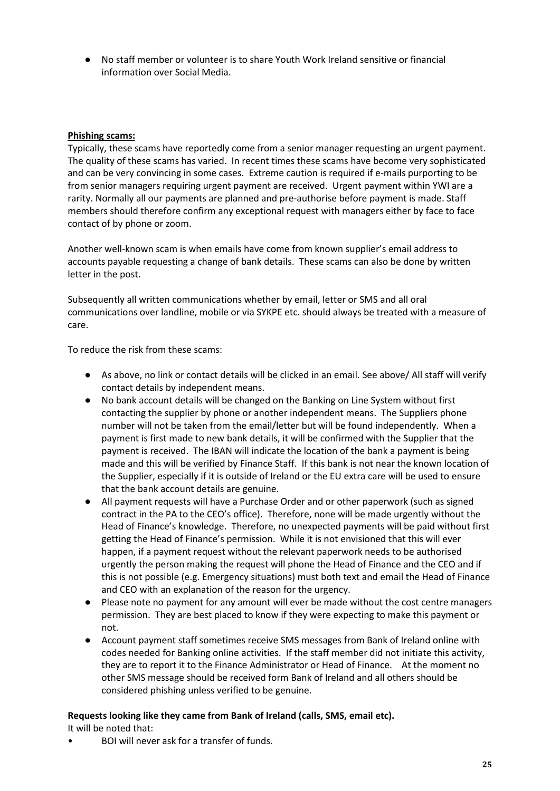● No staff member or volunteer is to share Youth Work Ireland sensitive or financial information over Social Media.

#### **Phishing scams:**

Typically, these scams have reportedly come from a senior manager requesting an urgent payment. The quality of these scams has varied. In recent times these scams have become very sophisticated and can be very convincing in some cases. Extreme caution is required if e-mails purporting to be from senior managers requiring urgent payment are received. Urgent payment within YWI are a rarity. Normally all our payments are planned and pre-authorise before payment is made. Staff members should therefore confirm any exceptional request with managers either by face to face contact of by phone or zoom.

Another well-known scam is when emails have come from known supplier's email address to accounts payable requesting a change of bank details. These scams can also be done by written letter in the post.

Subsequently all written communications whether by email, letter or SMS and all oral communications over landline, mobile or via SYKPE etc. should always be treated with a measure of care.

To reduce the risk from these scams:

- As above, no link or contact details will be clicked in an email. See above/ All staff will verify contact details by independent means.
- No bank account details will be changed on the Banking on Line System without first contacting the supplier by phone or another independent means. The Suppliers phone number will not be taken from the email/letter but will be found independently. When a payment is first made to new bank details, it will be confirmed with the Supplier that the payment is received. The IBAN will indicate the location of the bank a payment is being made and this will be verified by Finance Staff. If this bank is not near the known location of the Supplier, especially if it is outside of Ireland or the EU extra care will be used to ensure that the bank account details are genuine.
- All payment requests will have a Purchase Order and or other paperwork (such as signed contract in the PA to the CEO's office). Therefore, none will be made urgently without the Head of Finance's knowledge. Therefore, no unexpected payments will be paid without first getting the Head of Finance's permission. While it is not envisioned that this will ever happen, if a payment request without the relevant paperwork needs to be authorised urgently the person making the request will phone the Head of Finance and the CEO and if this is not possible (e.g. Emergency situations) must both text and email the Head of Finance and CEO with an explanation of the reason for the urgency.
- Please note no payment for any amount will ever be made without the cost centre managers permission. They are best placed to know if they were expecting to make this payment or not.
- Account payment staff sometimes receive SMS messages from Bank of Ireland online with codes needed for Banking online activities. If the staff member did not initiate this activity, they are to report it to the Finance Administrator or Head of Finance. At the moment no other SMS message should be received form Bank of Ireland and all others should be considered phishing unless verified to be genuine.

#### **Requests looking like they came from Bank of Ireland (calls, SMS, email etc).**

It will be noted that:

• BOI will never ask for a transfer of funds.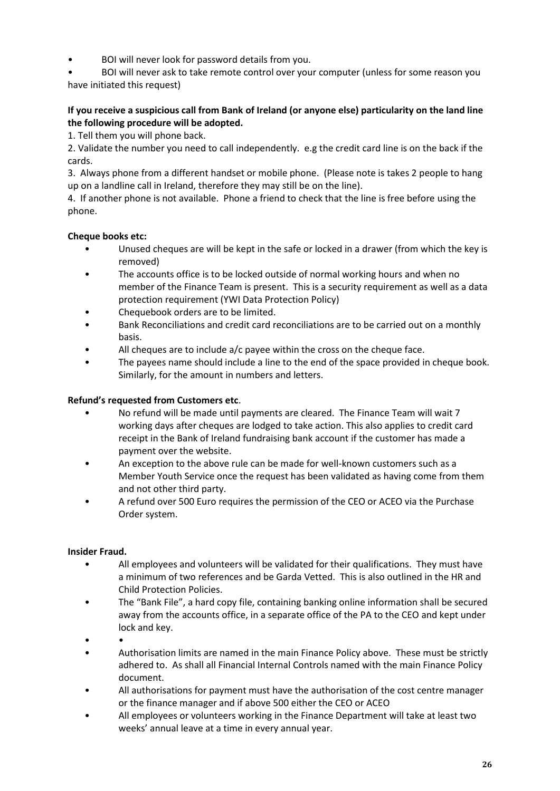• BOI will never look for password details from you.

• BOI will never ask to take remote control over your computer (unless for some reason you have initiated this request)

#### **If you receive a suspicious call from Bank of Ireland (or anyone else) particularity on the land line the following procedure will be adopted.**

1. Tell them you will phone back.

2. Validate the number you need to call independently. e.g the credit card line is on the back if the cards.

3. Always phone from a different handset or mobile phone. (Please note is takes 2 people to hang up on a landline call in Ireland, therefore they may still be on the line).

4. If another phone is not available. Phone a friend to check that the line is free before using the phone.

#### **Cheque books etc:**

- Unused cheques are will be kept in the safe or locked in a drawer (from which the key is removed)
- The accounts office is to be locked outside of normal working hours and when no member of the Finance Team is present. This is a security requirement as well as a data protection requirement (YWI Data Protection Policy)
- Chequebook orders are to be limited.
- Bank Reconciliations and credit card reconciliations are to be carried out on a monthly basis.
- All cheques are to include a/c payee within the cross on the cheque face.
- The payees name should include a line to the end of the space provided in cheque book. Similarly, for the amount in numbers and letters.

#### **Refund's requested from Customers etc**.

- No refund will be made until payments are cleared. The Finance Team will wait 7 working days after cheques are lodged to take action. This also applies to credit card receipt in the Bank of Ireland fundraising bank account if the customer has made a payment over the website.
- An exception to the above rule can be made for well-known customers such as a Member Youth Service once the request has been validated as having come from them and not other third party.
- A refund over 500 Euro requires the permission of the CEO or ACEO via the Purchase Order system.

#### **Insider Fraud.**

- All employees and volunteers will be validated for their qualifications. They must have a minimum of two references and be Garda Vetted. This is also outlined in the HR and Child Protection Policies.
- The "Bank File", a hard copy file, containing banking online information shall be secured away from the accounts office, in a separate office of the PA to the CEO and kept under lock and key.
- •
- Authorisation limits are named in the main Finance Policy above. These must be strictly adhered to. As shall all Financial Internal Controls named with the main Finance Policy document.
- All authorisations for payment must have the authorisation of the cost centre manager or the finance manager and if above 500 either the CEO or ACEO
- All employees or volunteers working in the Finance Department will take at least two weeks' annual leave at a time in every annual year.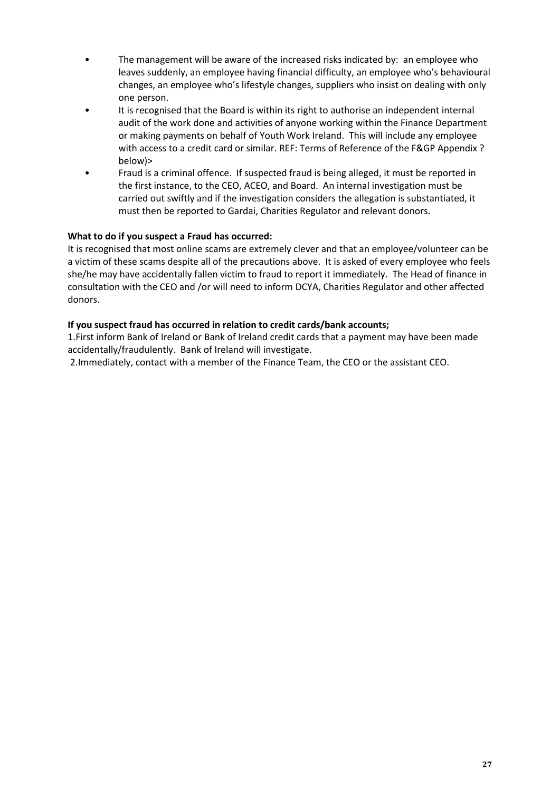- The management will be aware of the increased risks indicated by: an employee who leaves suddenly, an employee having financial difficulty, an employee who's behavioural changes, an employee who's lifestyle changes, suppliers who insist on dealing with only one person.
- It is recognised that the Board is within its right to authorise an independent internal audit of the work done and activities of anyone working within the Finance Department or making payments on behalf of Youth Work Ireland. This will include any employee with access to a credit card or similar. REF: Terms of Reference of the F&GP Appendix ? below)>
- Fraud is a criminal offence. If suspected fraud is being alleged, it must be reported in the first instance, to the CEO, ACEO, and Board. An internal investigation must be carried out swiftly and if the investigation considers the allegation is substantiated, it must then be reported to Gardai, Charities Regulator and relevant donors.

#### **What to do if you suspect a Fraud has occurred:**

It is recognised that most online scams are extremely clever and that an employee/volunteer can be a victim of these scams despite all of the precautions above. It is asked of every employee who feels she/he may have accidentally fallen victim to fraud to report it immediately. The Head of finance in consultation with the CEO and /or will need to inform DCYA, Charities Regulator and other affected donors.

#### **If you suspect fraud has occurred in relation to credit cards/bank accounts;**

1.First inform Bank of Ireland or Bank of Ireland credit cards that a payment may have been made accidentally/fraudulently. Bank of Ireland will investigate.

2.Immediately, contact with a member of the Finance Team, the CEO or the assistant CEO.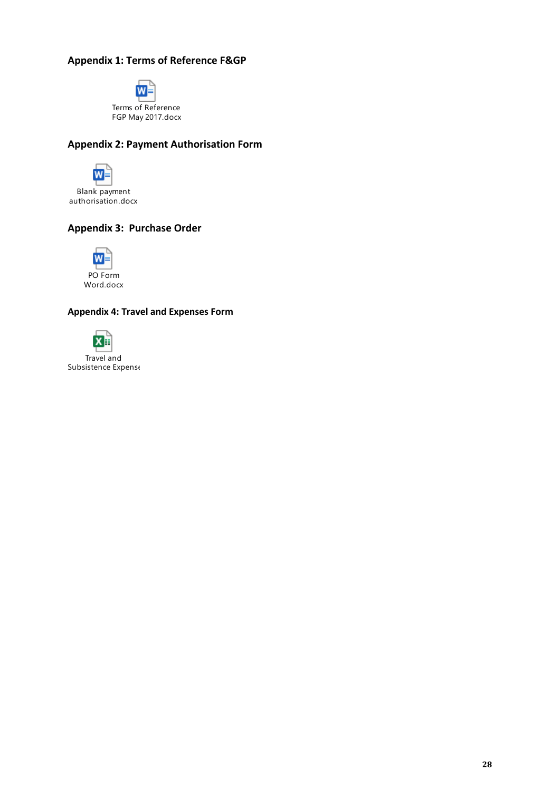### **Appendix 1: Terms of Reference F&GP**



### **Appendix 2: Payment Authorisation Form**



Blank payment authorisation.docx

#### **Appendix 3: Purchase Order**



#### **Appendix 4: Travel and Expenses Form**



Subsistence Expense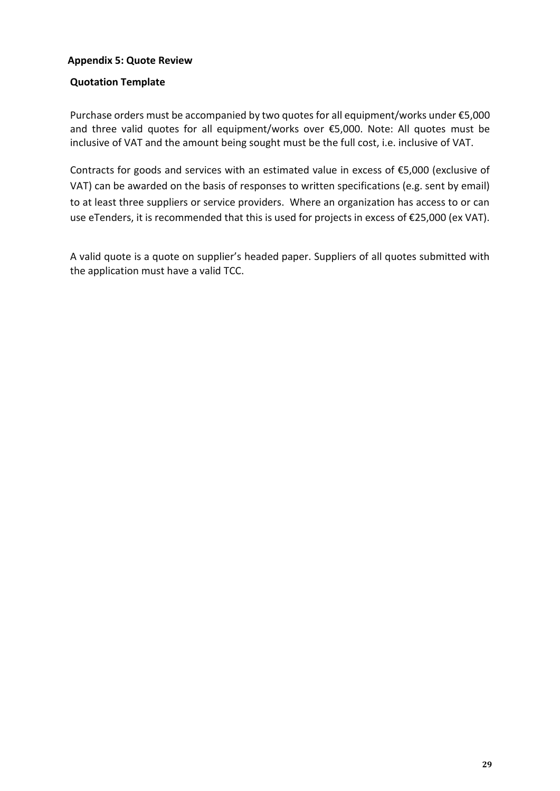#### **Appendix 5: Quote Review**

#### **Quotation Template**

Purchase orders must be accompanied by two quotes for all equipment/works under €5,000 and three valid quotes for all equipment/works over €5,000. Note: All quotes must be inclusive of VAT and the amount being sought must be the full cost, i.e. inclusive of VAT.

Contracts for goods and services with an estimated value in excess of €5,000 (exclusive of VAT) can be awarded on the basis of responses to written specifications (e.g. sent by email) to at least three suppliers or service providers. Where an organization has access to or can use eTenders, it is recommended that this is used for projects in excess of €25,000 (ex VAT).

A valid quote is a quote on supplier's headed paper. Suppliers of all quotes submitted with the application must have a valid TCC.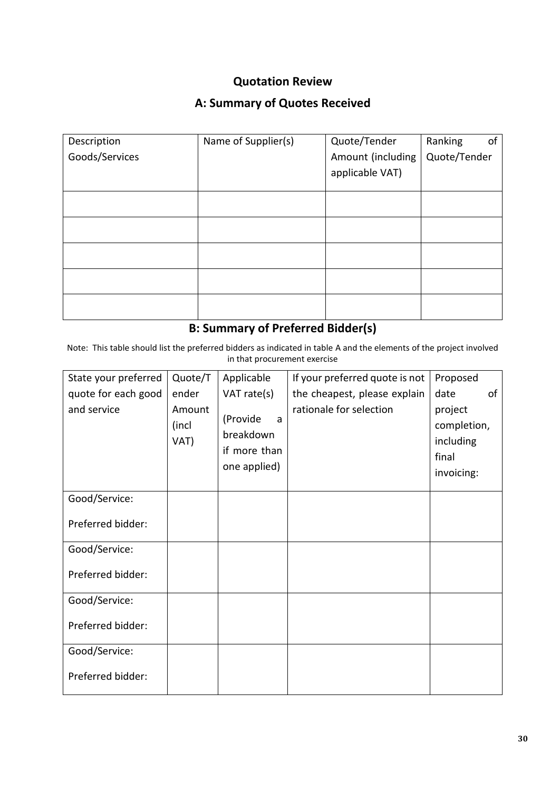### **Quotation Review**

### **A: Summary of Quotes Received**

| Description    | Name of Supplier(s) | Quote/Tender      | Ranking<br>οf |  |
|----------------|---------------------|-------------------|---------------|--|
| Goods/Services |                     | Amount (including | Quote/Tender  |  |
|                |                     | applicable VAT)   |               |  |
|                |                     |                   |               |  |
|                |                     |                   |               |  |
|                |                     |                   |               |  |
|                |                     |                   |               |  |
|                |                     |                   |               |  |
|                |                     |                   |               |  |
|                |                     |                   |               |  |
|                |                     |                   |               |  |
|                |                     |                   |               |  |
|                |                     |                   |               |  |

# **B: Summary of Preferred Bidder(s)**

Note: This table should list the preferred bidders as indicated in table A and the elements of the project involved in that procurement exercise

| State your preferred | Quote/T                 | Applicable                                                 | If your preferred quote is not | Proposed                                                   |    |
|----------------------|-------------------------|------------------------------------------------------------|--------------------------------|------------------------------------------------------------|----|
| quote for each good  | ender                   | VAT rate(s)                                                | the cheapest, please explain   | date                                                       | of |
| and service          | Amount<br>(incl<br>VAT) | (Provide<br>a<br>breakdown<br>if more than<br>one applied) | rationale for selection        | project<br>completion,<br>including<br>final<br>invoicing: |    |
| Good/Service:        |                         |                                                            |                                |                                                            |    |
| Preferred bidder:    |                         |                                                            |                                |                                                            |    |
| Good/Service:        |                         |                                                            |                                |                                                            |    |
| Preferred bidder:    |                         |                                                            |                                |                                                            |    |
| Good/Service:        |                         |                                                            |                                |                                                            |    |
| Preferred bidder:    |                         |                                                            |                                |                                                            |    |
| Good/Service:        |                         |                                                            |                                |                                                            |    |
| Preferred bidder:    |                         |                                                            |                                |                                                            |    |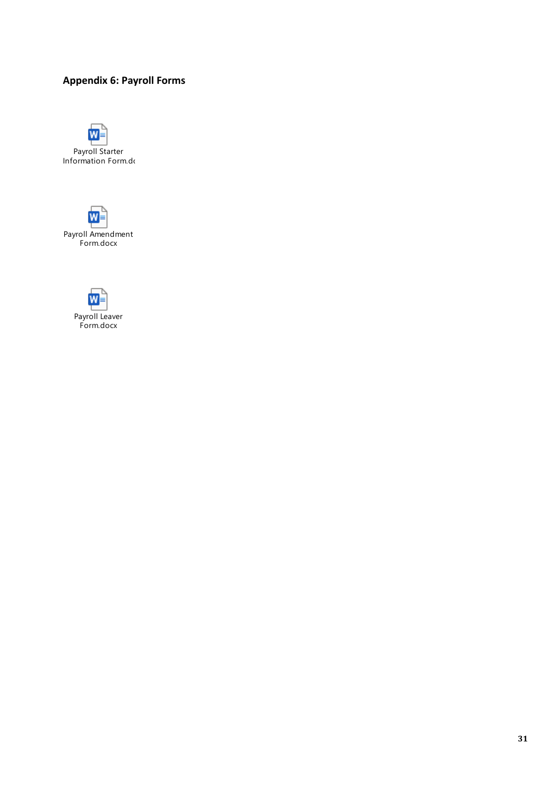### **Appendix 6: Payroll Forms**





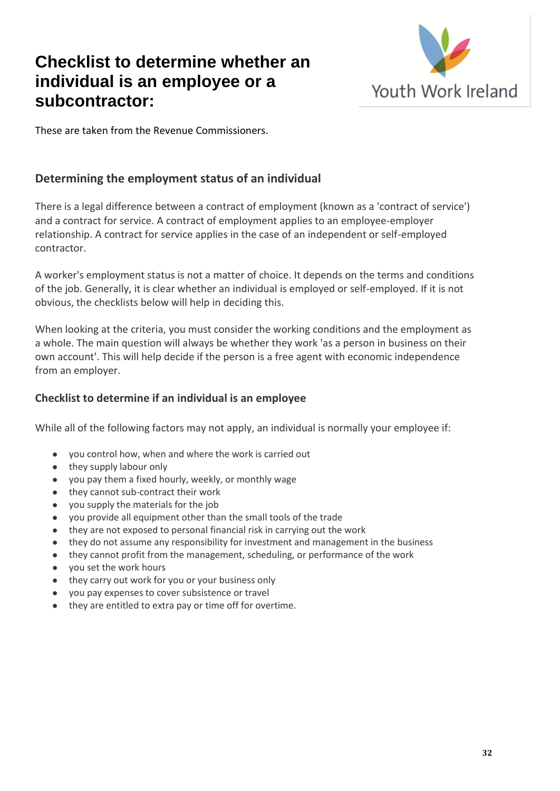# **Checklist to determine whether an individual is an employee or a subcontractor:**



These are taken from the Revenue Commissioners.

### **Determining the employment status of an individual**

There is a legal difference between a contract of employment (known as a 'contract of service') and a contract for service. A contract of employment applies to an employee-employer relationship. A contract for service applies in the case of an independent or self-employed contractor.

A worker's employment status is not a matter of choice. It depends on the terms and conditions of the job. Generally, it is clear whether an individual is employed or self-employed. If it is not obvious, the checklists below will help in deciding this.

When looking at the criteria, you must consider the working conditions and the employment as a whole. The main question will always be whether they work 'as a person in business on their own account'. This will help decide if the person is a free agent with economic independence from an employer.

### **Checklist to determine if an individual is an employee**

While all of the following factors may not apply, an individual is normally your employee if:

- you control how, when and where the work is carried out
- they supply labour only
- you pay them a fixed hourly, weekly, or monthly wage
- they cannot sub-contract their work
- you supply the materials for the job
- you provide all equipment other than the small tools of the trade
- they are not exposed to personal financial risk in carrying out the work
- they do not assume any responsibility for investment and management in the business
- they cannot profit from the management, scheduling, or performance of the work
- you set the work hours
- they carry out work for you or your business only
- you pay expenses to cover subsistence or travel
- they are entitled to extra pay or time off for overtime.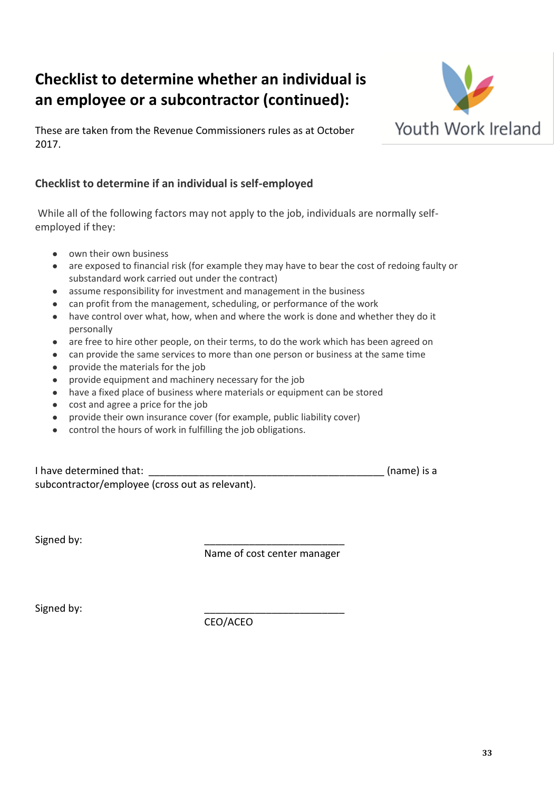# **Checklist to determine whether an individual is an employee or a subcontractor (continued):**



These are taken from the Revenue Commissioners rules as at October 2017.

### **Checklist to determine if an individual is self-employed**

While all of the following factors may not apply to the job, individuals are normally selfemployed if they:

- own their own business
- are exposed to financial risk (for example they may have to bear the cost of redoing faulty or substandard work carried out under the contract)
- assume responsibility for investment and management in the business
- can profit from the management, scheduling, or performance of the work
- have control over what, how, when and where the work is done and whether they do it personally
- are free to hire other people, on their terms, to do the work which has been agreed on
- can provide the same services to more than one person or business at the same time
- provide the materials for the job
- provide equipment and machinery necessary for the job
- have a fixed place of business where materials or equipment can be stored
- cost and agree a price for the job
- provide their own insurance cover (for example, public liability cover)
- control the hours of work in fulfilling the job obligations.

| I have determined that:                         | (name) is a |
|-------------------------------------------------|-------------|
| subcontractor/employee (cross out as relevant). |             |

Signed by:

Name of cost center manager

Signed by:

CEO/ACEO